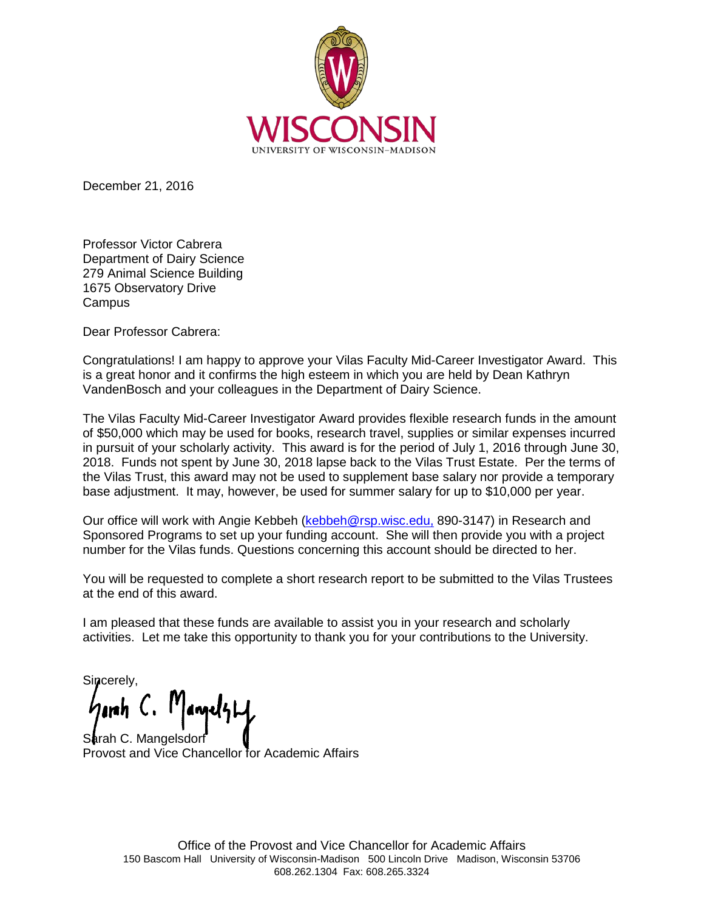

December 21, 2016

Professor Victor Cabrera Department of Dairy Science 279 Animal Science Building 1675 Observatory Drive **Campus** 

Dear Professor Cabrera:

Congratulations! I am happy to approve your Vilas Faculty Mid-Career Investigator Award. This is a great honor and it confirms the high esteem in which you are held by Dean Kathryn VandenBosch and your colleagues in the Department of Dairy Science.

The Vilas Faculty Mid-Career Investigator Award provides flexible research funds in the amount of \$50,000 which may be used for books, research travel, supplies or similar expenses incurred in pursuit of your scholarly activity. This award is for the period of July 1, 2016 through June 30, 2018. Funds not spent by June 30, 2018 lapse back to the Vilas Trust Estate. Per the terms of the Vilas Trust, this award may not be used to supplement base salary nor provide a temporary base adjustment. It may, however, be used for summer salary for up to \$10,000 per year.

Our office will work with Angie Kebbeh [\(kebbeh@rsp.wisc.edu,](mailto:kebbeh@rsp.wisc.edu) 890-3147) in Research and Sponsored Programs to set up your funding account. She will then provide you with a project number for the Vilas funds. Questions concerning this account should be directed to her.

You will be requested to complete a short research report to be submitted to the Vilas Trustees at the end of this award.

I am pleased that these funds are available to assist you in your research and scholarly activities. Let me take this opportunity to thank you for your contributions to the University.

Sincerely,

Sarah C. Mangelsdo Provost and Vice Chancellor for Academic Affairs